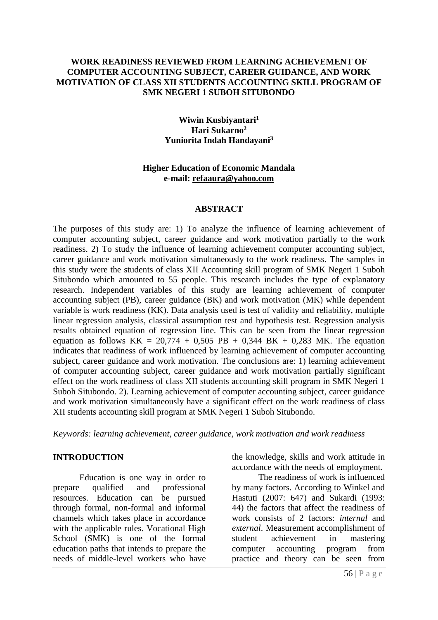## **WORK READINESS REVIEWED FROM LEARNING ACHIEVEMENT OF COMPUTER ACCOUNTING SUBJECT, CAREER GUIDANCE, AND WORK MOTIVATION OF CLASS XII STUDENTS ACCOUNTING SKILL PROGRAM OF SMK NEGERI 1 SUBOH SITUBONDO**

### **Wiwin Kusbiyantari<sup>1</sup> Hari Sukarno<sup>2</sup> Yuniorita Indah Handayani<sup>3</sup>**

## **Higher Education of Economic Mandala e-mail: [refaaura@yahoo.com](mailto:refaaura@yahoo.com)**

#### **ABSTRACT**

The purposes of this study are: 1) To analyze the influence of learning achievement of computer accounting subject, career guidance and work motivation partially to the work readiness. 2) To study the influence of learning achievement computer accounting subject, career guidance and work motivation simultaneously to the work readiness. The samples in this study were the students of class XII Accounting skill program of SMK Negeri 1 Suboh Situbondo which amounted to 55 people. This research includes the type of explanatory research. Independent variables of this study are learning achievement of computer accounting subject (PB), career guidance (BK) and work motivation (MK) while dependent variable is work readiness (KK). Data analysis used is test of validity and reliability, multiple linear regression analysis, classical assumption test and hypothesis test. Regression analysis results obtained equation of regression line. This can be seen from the linear regression equation as follows  $KK = 20,774 + 0,505$  PB + 0,344 BK + 0,283 MK. The equation indicates that readiness of work influenced by learning achievement of computer accounting subject, career guidance and work motivation. The conclusions are: 1) learning achievement of computer accounting subject, career guidance and work motivation partially significant effect on the work readiness of class XII students accounting skill program in SMK Negeri 1 Suboh Situbondo. 2). Learning achievement of computer accounting subject, career guidance and work motivation simultaneously have a significant effect on the work readiness of class XII students accounting skill program at SMK Negeri 1 Suboh Situbondo.

*Keywords: learning achievement, career guidance, work motivation and work readiness*

## **INTRODUCTION**

Education is one way in order to prepare qualified and professional resources. Education can be pursued through formal, non-formal and informal channels which takes place in accordance with the applicable rules. Vocational High School (SMK) is one of the formal education paths that intends to prepare the needs of middle-level workers who have the knowledge, skills and work attitude in accordance with the needs of employment.

The readiness of work is influenced by many factors. According to Winkel and Hastuti (2007: 647) and Sukardi (1993: 44) the factors that affect the readiness of work consists of 2 factors: *internal* and *external*. Measurement accomplishment of student achievement in mastering computer accounting program from practice and theory can be seen from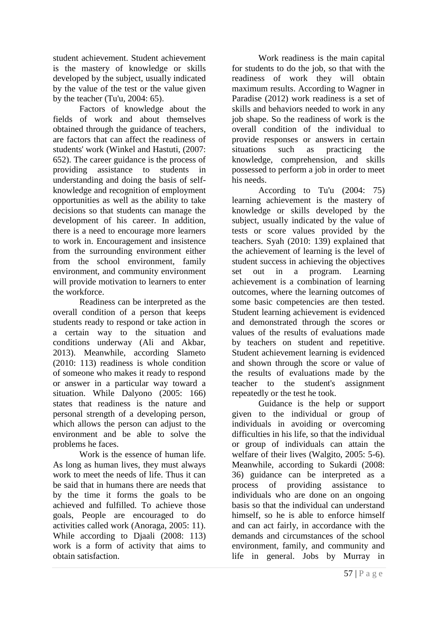student achievement. Student achievement is the mastery of knowledge or skills developed by the subject, usually indicated by the value of the test or the value given by the teacher (Tu'u, 2004: 65).

Factors of knowledge about the fields of work and about themselves obtained through the guidance of teachers, are factors that can affect the readiness of students' work (Winkel and Hastuti, (2007: 652). The career guidance is the process of providing assistance to students in understanding and doing the basis of selfknowledge and recognition of employment opportunities as well as the ability to take decisions so that students can manage the development of his career. In addition, there is a need to encourage more learners to work in. Encouragement and insistence from the surrounding environment either from the school environment, family environment, and community environment will provide motivation to learners to enter the workforce.

Readiness can be interpreted as the overall condition of a person that keeps students ready to respond or take action in a certain way to the situation and conditions underway (Ali and Akbar, 2013). Meanwhile, according Slameto (2010: 113) readiness is whole condition of someone who makes it ready to respond or answer in a particular way toward a situation. While Dalyono (2005: 166) states that readiness is the nature and personal strength of a developing person, which allows the person can adjust to the environment and be able to solve the problems he faces.

Work is the essence of human life. As long as human lives, they must always work to meet the needs of life. Thus it can be said that in humans there are needs that by the time it forms the goals to be achieved and fulfilled. To achieve those goals, People are encouraged to do activities called work (Anoraga, 2005: 11). While according to Djaali (2008: 113) work is a form of activity that aims to obtain satisfaction.

Work readiness is the main capital for students to do the job, so that with the readiness of work they will obtain maximum results. According to Wagner in Paradise (2012) work readiness is a set of skills and behaviors needed to work in any job shape. So the readiness of work is the overall condition of the individual to provide responses or answers in certain situations such as practicing the knowledge, comprehension, and skills possessed to perform a job in order to meet his needs.

According to Tu'u (2004: 75) learning achievement is the mastery of knowledge or skills developed by the subject, usually indicated by the value of tests or score values provided by the teachers. Syah (2010: 139) explained that the achievement of learning is the level of student success in achieving the objectives set out in a program. Learning achievement is a combination of learning outcomes, where the learning outcomes of some basic competencies are then tested. Student learning achievement is evidenced and demonstrated through the scores or values of the results of evaluations made by teachers on student and repetitive. Student achievement learning is evidenced and shown through the score or value of the results of evaluations made by the teacher to the student's assignment repeatedly or the test he took.

Guidance is the help or support given to the individual or group of individuals in avoiding or overcoming difficulties in his life, so that the individual or group of individuals can attain the welfare of their lives (Walgito, 2005: 5-6). Meanwhile, according to Sukardi (2008: 36) guidance can be interpreted as a process of providing assistance to individuals who are done on an ongoing basis so that the individual can understand himself, so he is able to enforce himself and can act fairly, in accordance with the demands and circumstances of the school environment, family, and community and life in general. Jobs by Murray in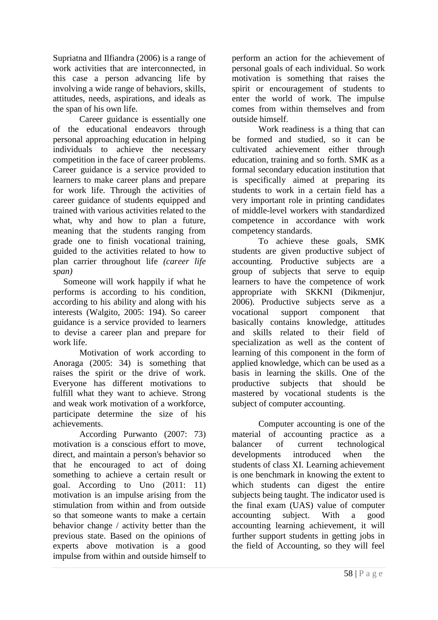Supriatna and Ilfiandra (2006) is a range of work activities that are interconnected, in this case a person advancing life by involving a wide range of behaviors, skills, attitudes, needs, aspirations, and ideals as the span of his own life.

Career guidance is essentially one of the educational endeavors through personal approaching education in helping individuals to achieve the necessary competition in the face of career problems. Career guidance is a service provided to learners to make career plans and prepare for work life. Through the activities of career guidance of students equipped and trained with various activities related to the what, why and how to plan a future, meaning that the students ranging from grade one to finish vocational training, guided to the activities related to how to plan carrier throughout life *(career life span)* 

Someone will work happily if what he performs is according to his condition, according to his ability and along with his interests (Walgito, 2005: 194). So career guidance is a service provided to learners to devise a career plan and prepare for work life.

Motivation of work according to Anoraga (2005: 34) is something that raises the spirit or the drive of work. Everyone has different motivations to fulfill what they want to achieve. Strong and weak work motivation of a workforce, participate determine the size of his achievements.

According Purwanto (2007: 73) motivation is a conscious effort to move, direct, and maintain a person's behavior so that he encouraged to act of doing something to achieve a certain result or goal. According to Uno (2011: 11) motivation is an impulse arising from the stimulation from within and from outside so that someone wants to make a certain behavior change / activity better than the previous state. Based on the opinions of experts above motivation is a good impulse from within and outside himself to

perform an action for the achievement of personal goals of each individual. So work motivation is something that raises the spirit or encouragement of students to enter the world of work. The impulse comes from within themselves and from outside himself.

Work readiness is a thing that can be formed and studied, so it can be cultivated achievement either through education, training and so forth. SMK as a formal secondary education institution that is specifically aimed at preparing its students to work in a certain field has a very important role in printing candidates of middle-level workers with standardized competence in accordance with work competency standards.

To achieve these goals, SMK students are given productive subject of accounting. Productive subjects are a group of subjects that serve to equip learners to have the competence of work appropriate with SKKNI (Dikmenjur, 2006). Productive subjects serve as a vocational support component that basically contains knowledge, attitudes and skills related to their field of specialization as well as the content of learning of this component in the form of applied knowledge, which can be used as a basis in learning the skills. One of the productive subjects that should be mastered by vocational students is the subject of computer accounting.

Computer accounting is one of the material of accounting practice as a balancer of current technological developments introduced when the students of class XI. Learning achievement is one benchmark in knowing the extent to which students can digest the entire subjects being taught. The indicator used is the final exam (UAS) value of computer accounting subject. With a good accounting learning achievement, it will further support students in getting jobs in the field of Accounting, so they will feel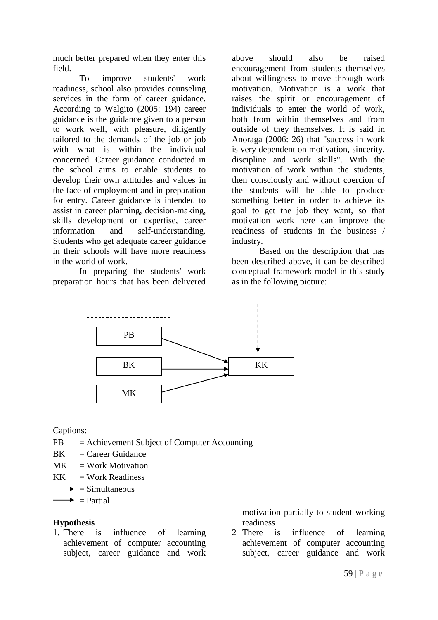much better prepared when they enter this field.

To improve students' work readiness, school also provides counseling services in the form of career guidance. According to Walgito (2005: 194) career guidance is the guidance given to a person to work well, with pleasure, diligently tailored to the demands of the job or job with what is within the individual concerned. Career guidance conducted in the school aims to enable students to develop their own attitudes and values in the face of employment and in preparation for entry. Career guidance is intended to assist in career planning, decision-making, skills development or expertise, career information and self-understanding. Students who get adequate career guidance in their schools will have more readiness in the world of work.

In preparing the students' work preparation hours that has been delivered

above should also be raised encouragement from students themselves about willingness to move through work motivation. Motivation is a work that raises the spirit or encouragement of individuals to enter the world of work, both from within themselves and from outside of they themselves. It is said in Anoraga (2006: 26) that "success in work is very dependent on motivation, sincerity, discipline and work skills". With the motivation of work within the students, then consciously and without coercion of the students will be able to produce something better in order to achieve its goal to get the job they want, so that motivation work here can improve the readiness of students in the business / industry.

Based on the description that has been described above, it can be described conceptual framework model in this study as in the following picture:



Captions:

- PB = Achievement Subject of Computer Accounting
- $BK = Career Guidance$
- $MK = Work Motion$
- $KK = Work Readiness$
- $--- \rightarrow \equiv$  Simultaneous
- $\rightarrow$  = Partial

## **Hypothesis**

1. There is influence of learning achievement of computer accounting subject, career guidance and work motivation partially to student working readiness

2 There is influence of learning achievement of computer accounting subject, career guidance and work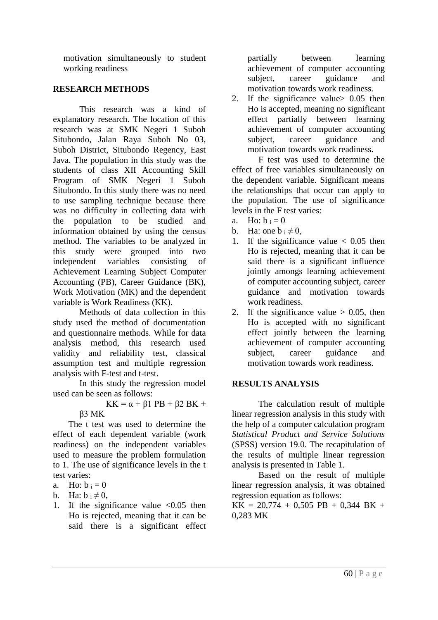motivation simultaneously to student working readiness

## **RESEARCH METHODS**

This research was a kind of explanatory research. The location of this research was at SMK Negeri 1 Suboh Situbondo, Jalan Raya Suboh No 03, Suboh District, Situbondo Regency, East Java. The population in this study was the students of class XII Accounting Skill Program of SMK Negeri 1 Suboh Situbondo. In this study there was no need to use sampling technique because there was no difficulty in collecting data with the population to be studied and information obtained by using the census method. The variables to be analyzed in this study were grouped into two independent variables consisting of Achievement Learning Subject Computer Accounting (PB), Career Guidance (BK), Work Motivation (MK) and the dependent variable is Work Readiness (KK).

Methods of data collection in this study used the method of documentation and questionnaire methods. While for data analysis method, this research used validity and reliability test, classical assumption test and multiple regression analysis with F-test and t-test.

In this study the regression model used can be seen as follows:

KK =  $\alpha$  +  $\beta$ 1 PB +  $\beta$ 2 BK +

β3 MK

The t test was used to determine the effect of each dependent variable (work readiness) on the independent variables used to measure the problem formulation to 1. The use of significance levels in the t test varies:

a. Ho:  $b_i = 0$ 

b. Ha:  $b_i \neq 0$ ,

1. If the significance value  $\langle 0.05 \rangle$  then Ho is rejected, meaning that it can be said there is a significant effect

partially between learning achievement of computer accounting subject, career guidance and motivation towards work readiness.

2. If the significance value> 0.05 then Ho is accepted, meaning no significant effect partially between learning achievement of computer accounting subject, career guidance and motivation towards work readiness.

F test was used to determine the effect of free variables simultaneously on the dependent variable. Significant means the relationships that occur can apply to the population. The use of significance levels in the F test varies:

- a. Ho:  $b_i = 0$
- b. Ha: one  $b_i \neq 0$ ,
- 1. If the significance value  $\lt$  0.05 then Ho is rejected, meaning that it can be said there is a significant influence jointly amongs learning achievement of computer accounting subject, career guidance and motivation towards work readiness.
- 2. If the significance value  $> 0.05$ , then Ho is accepted with no significant effect jointly between the learning achievement of computer accounting subject, career guidance and motivation towards work readiness.

# **RESULTS ANALYSIS**

The calculation result of multiple linear regression analysis in this study with the help of a computer calculation program *Statistical Product and Service Solutions* (SPSS) version 19.0. The recapitulation of the results of multiple linear regression analysis is presented in Table 1.

Based on the result of multiple linear regression analysis, it was obtained regression equation as follows:

 $KK = 20,774 + 0,505 PB + 0,344 BK +$ 0,283 MK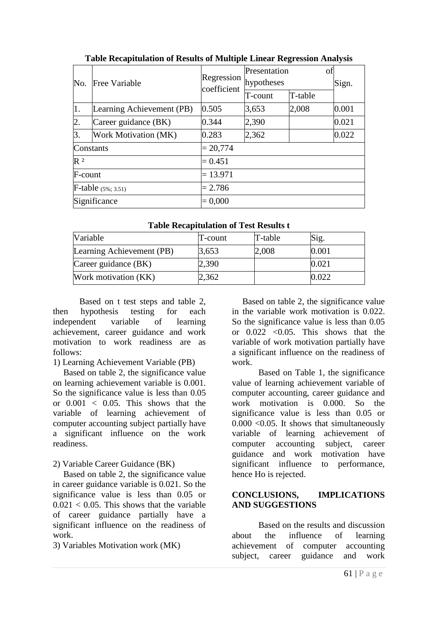| No.                   | <b>Free Variable</b>      | Regression<br>coefficient | Presentation<br>hypotheses |         | οf | Sign. |  |
|-----------------------|---------------------------|---------------------------|----------------------------|---------|----|-------|--|
|                       |                           |                           | T-count                    | T-table |    |       |  |
| 1.                    | Learning Achievement (PB) | 0.505                     | 3,653                      | 2,008   |    | 0.001 |  |
| $\overline{2}$ .      | Career guidance (BK)      | 0.344                     | 2,390                      |         |    | 0.021 |  |
| 3.                    | Work Motivation (MK)      | 0.283                     | 2,362                      |         |    | 0.022 |  |
| Constants             |                           | $= 20,774$                |                            |         |    |       |  |
| $R^2$                 |                           | $= 0.451$                 |                            |         |    |       |  |
| F-count               |                           | $= 13.971$                |                            |         |    |       |  |
| F-table $(5\%; 3.51)$ |                           | $= 2.786$                 |                            |         |    |       |  |
| Significance          |                           | $= 0,000$                 |                            |         |    |       |  |

**Table Recapitulation of Results of Multiple Linear Regression Analysis**

| Variable                  | $T$ -count | T-table | Sig.  |
|---------------------------|------------|---------|-------|
| Learning Achievement (PB) | 3,653      | 2,008   | 0.001 |
| Career guidance (BK)      | 2,390      |         | 0.021 |
| Work motivation (KK)      | 2,362      |         | 1.022 |

Based on t test steps and table 2, then hypothesis testing for each independent variable of learning achievement, career guidance and work motivation to work readiness are as follows:

1) Learning Achievement Variable (PB)

Based on table 2, the significance value on learning achievement variable is 0.001. So the significance value is less than 0.05 or  $0.001 < 0.05$ . This shows that the variable of learning achievement of computer accounting subject partially have a significant influence on the work readiness.

# 2) Variable Career Guidance (BK)

Based on table 2, the significance value in career guidance variable is 0.021. So the significance value is less than 0.05 or  $0.021 < 0.05$ . This shows that the variable of career guidance partially have a significant influence on the readiness of work.

3) Variables Motivation work (MK)

Based on table 2, the significance value in the variable work motivation is 0.022. So the significance value is less than 0.05 or  $0.022$  < 0.05. This shows that the variable of work motivation partially have a significant influence on the readiness of work.

Based on Table 1, the significance value of learning achievement variable of computer accounting, career guidance and work motivation is 0.000. So the significance value is less than 0.05 or  $0.000 \leq 0.05$ . It shows that simultaneously variable of learning achievement of computer accounting subject, career guidance and work motivation have significant influence to performance, hence Ho is rejected.

# **CONCLUSIONS, IMPLICATIONS AND SUGGESTIONS**

Based on the results and discussion about the influence of learning achievement of computer accounting subject, career guidance and work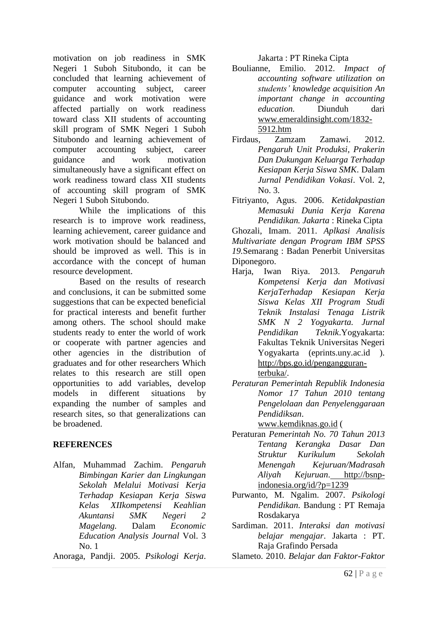motivation on job readiness in SMK Negeri 1 Suboh Situbondo, it can be concluded that learning achievement of computer accounting subject, career guidance and work motivation were affected partially on work readiness toward class XII students of accounting skill program of SMK Negeri 1 Suboh Situbondo and learning achievement of computer accounting subject, career guidance and work motivation simultaneously have a significant effect on work readiness toward class XII students of accounting skill program of SMK Negeri 1 Suboh Situbondo.

While the implications of this research is to improve work readiness, learning achievement, career guidance and work motivation should be balanced and should be improved as well. This is in accordance with the concept of human resource development.

Based on the results of research and conclusions, it can be submitted some suggestions that can be expected beneficial for practical interests and benefit further among others. The school should make students ready to enter the world of work or cooperate with partner agencies and other agencies in the distribution of graduates and for other researchers Which relates to this research are still open opportunities to add variables, develop models in different situations by expanding the number of samples and research sites, so that generalizations can be broadened.

# **REFERENCES**

Alfan, Muhammad Zachim. *Pengaruh Bimbingan Karier dan Lingkungan Sekolah Melalui Motivasi Kerja Terhadap Kesiapan Kerja Siswa Kelas XIIkompetensi Keahlian Akuntansi SMK Negeri 2 Magelang.* Dalam *Economic Education Analysis Journal* Vol. 3 No. 1

Anoraga, Pandji. 2005. *Psikologi Kerja*.

Jakarta : PT Rineka Cipta

- Boulianne, Emilio. 2012. *Impact of accounting software utilization on students' knowledge acquisition An important change in accounting education.* Diunduh dari www.emeraldinsight.com/1832- 5912.htm
- Firdaus, Zamzam Zamawi. 2012. *Pengaruh Unit Produksi, Prakerin Dan Dukungan Keluarga Terhadap Kesiapan Kerja Siswa SMK*. Dalam *Jurnal Pendidikan Vokasi*. Vol. 2, No. 3.
- Fitriyanto, Agus. 2006. *Ketidakpastian Memasuki Dunia Kerja Karena Pendidikan. Jakarta* : Rineka Cipta

Ghozali, Imam. 2011. *Aplkasi Analisis Multivariate dengan Program IBM SPSS 19.*Semarang : Badan Penerbit Universitas Diponegoro.

- Harja, Iwan Riya. 2013. *Pengaruh Kompetensi Kerja dan Motivasi KerjaTerhadap Kesiapan Kerja Siswa Kelas XII Program Studi Teknik Instalasi Tenaga Listrik SMK N 2 Yogyakarta. Jurnal Pendidikan Teknik*.Yogyakarta: Fakultas Teknik Universitas Negeri Yogyakarta (eprints.uny.ac.id ). [http://bps.go.id/pengangguran](http://bps.go.id/pengangguran-terbuka/)[terbuka/.](http://bps.go.id/pengangguran-terbuka/)
- *Peraturan Pemerintah Republik Indonesia Nomor 17 Tahun 2010 tentang Pengelolaan dan Penyelenggaraan Pendidiksan*.

www.kemdiknas.go.id (

- Peraturan *Pemerintah No. 70 Tahun 2013 Tentang Kerangka Dasar Dan Struktur Kurikulum Sekolah Menengah Kejuruan/Madrasah Aliyah Kejuruan*. http://bsnpindonesia.org/id/?p=1239
- Purwanto, M. Ngalim. 2007. *Psikologi Pendidikan*. Bandung : PT Remaja Rosdakarya
- Sardiman. 2011. *Interaksi dan motivasi belajar mengajar*. Jakarta : PT. Raja Grafindo Persada
- Slameto. 2010. *Belajar dan Faktor-Faktor*